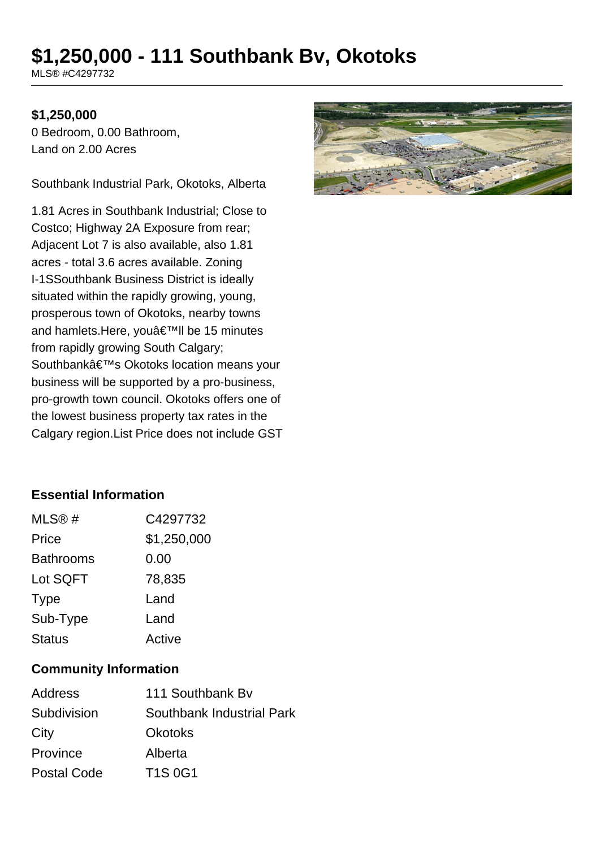# **\$1,250,000 - 111 Southbank Bv, Okotoks**

MLS® #C4297732

#### **\$1,250,000**

0 Bedroom, 0.00 Bathroom, Land on 2.00 Acres

Southbank Industrial Park, Okotoks, Alberta

1.81 Acres in Southbank Industrial; Close to Costco; Highway 2A Exposure from rear; Adjacent Lot 7 is also available, also 1.81 acres - total 3.6 acres available. Zoning I-1SSouthbank Business District is ideally situated within the rapidly growing, young, prosperous town of Okotoks, nearby towns and hamlets.Here, you'll be 15 minutes from rapidly growing South Calgary; Southbank's Okotoks location means your business will be supported by a pro-business, pro-growth town council. Okotoks offers one of the lowest business property tax rates in the Calgary region.List Price does not include GST



## **Essential Information**

| MLS@#            | C4297732    |
|------------------|-------------|
| Price            | \$1,250,000 |
| <b>Bathrooms</b> | 0.00        |
| Lot SQFT         | 78,835      |
| <b>Type</b>      | Land        |
| Sub-Type         | Land        |
| <b>Status</b>    | Active      |

#### **Community Information**

| <b>Address</b>     | 111 Southbank By          |
|--------------------|---------------------------|
| Subdivision        | Southbank Industrial Park |
| City               | <b>Okotoks</b>            |
| Province           | Alberta                   |
| <b>Postal Code</b> | <b>T1S 0G1</b>            |